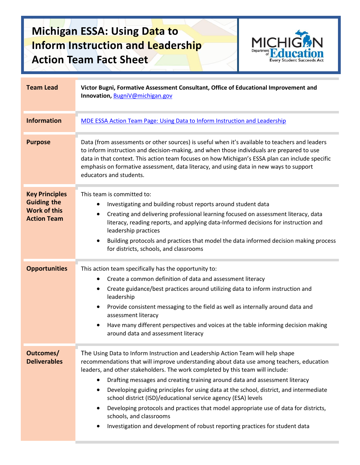## **Michigan ESSA: Using Data to Inform Instruction and Leadership Action Team Fact Sheet**



| <b>Team Lead</b>                                                                         | Victor Bugni, Formative Assessment Consultant, Office of Educational Improvement and<br>Innovation, BugniV@michigan.gov                                                                                                                                                                                                                                                                                                                                                                                                                                                                                                                                                                                                 |  |  |
|------------------------------------------------------------------------------------------|-------------------------------------------------------------------------------------------------------------------------------------------------------------------------------------------------------------------------------------------------------------------------------------------------------------------------------------------------------------------------------------------------------------------------------------------------------------------------------------------------------------------------------------------------------------------------------------------------------------------------------------------------------------------------------------------------------------------------|--|--|
| <b>Information</b>                                                                       | MDE ESSA Action Team Page: Using Data to Inform Instruction and Leadership                                                                                                                                                                                                                                                                                                                                                                                                                                                                                                                                                                                                                                              |  |  |
| <b>Purpose</b>                                                                           | Data (from assessments or other sources) is useful when it's available to teachers and leaders<br>to inform instruction and decision-making, and when those individuals are prepared to use<br>data in that context. This action team focuses on how Michigan's ESSA plan can include specific<br>emphasis on formative assessment, data literacy, and using data in new ways to support<br>educators and students.                                                                                                                                                                                                                                                                                                     |  |  |
| <b>Key Principles</b><br><b>Guiding the</b><br><b>Work of this</b><br><b>Action Team</b> | This team is committed to:<br>Investigating and building robust reports around student data<br>Creating and delivering professional learning focused on assessment literacy, data<br>$\bullet$<br>literacy, reading reports, and applying data-Informed decisions for instruction and<br>leadership practices<br>Building protocols and practices that model the data informed decision making process<br>٠<br>for districts, schools, and classrooms                                                                                                                                                                                                                                                                   |  |  |
| <b>Opportunities</b>                                                                     | This action team specifically has the opportunity to:<br>Create a common definition of data and assessment literacy<br>٠<br>Create guidance/best practices around utilizing data to inform instruction and<br>$\bullet$<br>leadership<br>Provide consistent messaging to the field as well as internally around data and<br>$\bullet$<br>assessment literacy<br>Have many different perspectives and voices at the table informing decision making<br>٠<br>around data and assessment literacy                                                                                                                                                                                                                          |  |  |
| Outcomes/<br><b>Deliverables</b>                                                         | The Using Data to Inform Instruction and Leadership Action Team will help shape<br>recommendations that will improve understanding about data use among teachers, education<br>leaders, and other stakeholders. The work completed by this team will include:<br>Drafting messages and creating training around data and assessment literacy<br>Developing guiding principles for using data at the school, district, and intermediate<br>$\bullet$<br>school district (ISD)/educational service agency (ESA) levels<br>Developing protocols and practices that model appropriate use of data for districts,<br>schools, and classrooms<br>Investigation and development of robust reporting practices for student data |  |  |